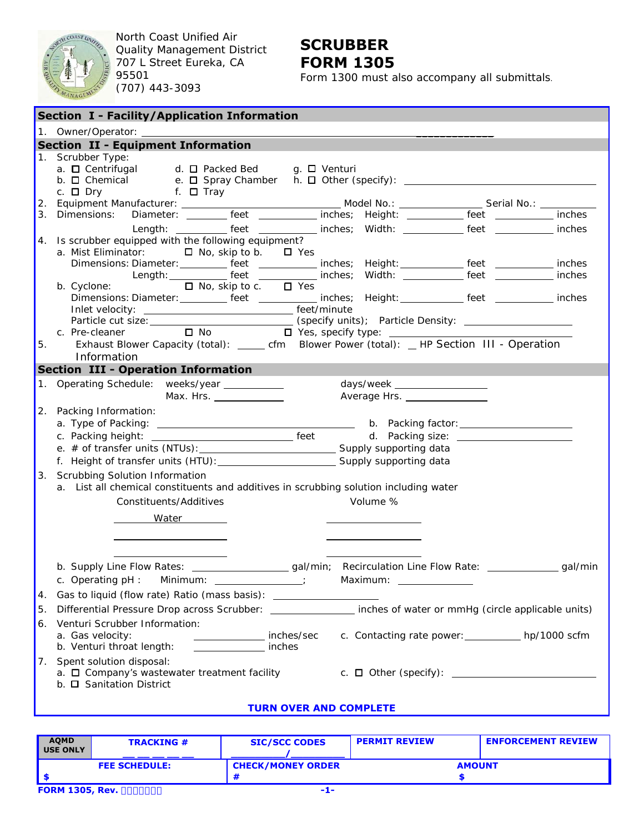

North Coast Unified Air Quality Management District 707 L Street Eureka, CA 95501 (707) 443-3093

## **SCRUBBER FORM 1305**

Form 1300 must also accompany all submittals.

| <b>Section I - Facility/Application Information</b> |                                                                                                                                                                                                                                                                                                                                                                                                                                                                           |  |  |  |  |  |  |
|-----------------------------------------------------|---------------------------------------------------------------------------------------------------------------------------------------------------------------------------------------------------------------------------------------------------------------------------------------------------------------------------------------------------------------------------------------------------------------------------------------------------------------------------|--|--|--|--|--|--|
|                                                     |                                                                                                                                                                                                                                                                                                                                                                                                                                                                           |  |  |  |  |  |  |
|                                                     | <b>Section II - Equipment Information</b>                                                                                                                                                                                                                                                                                                                                                                                                                                 |  |  |  |  |  |  |
|                                                     | 1. Scrubber Type:<br>a. □ Centrifugal d. □ Packed Bed g. □ Venturi<br>c. $\square$ Dry f. $\square$ Tray                                                                                                                                                                                                                                                                                                                                                                  |  |  |  |  |  |  |
|                                                     |                                                                                                                                                                                                                                                                                                                                                                                                                                                                           |  |  |  |  |  |  |
|                                                     |                                                                                                                                                                                                                                                                                                                                                                                                                                                                           |  |  |  |  |  |  |
|                                                     | Length: __________ feet ____________ inches; Width: ___________ feet ___________ inches                                                                                                                                                                                                                                                                                                                                                                                   |  |  |  |  |  |  |
|                                                     | 4. Is scrubber equipped with the following equipment?<br>a. Mist Eliminator: □ No, skip to b. □ Yes<br>Dimensions: Diameter: __________ feet ____________ inches; Height: ____________ feet ____________ inches<br>Length: ____________ feet ____________ inches; Width: ____________ feet _________<br>inches<br>b. Cyclone:<br>$\Box$ No, skip to c. $\Box$ Yes<br>Dimensions: Diameter: __________ feet ___________ inches; Height: ___________ feet __________ inches |  |  |  |  |  |  |
|                                                     |                                                                                                                                                                                                                                                                                                                                                                                                                                                                           |  |  |  |  |  |  |
|                                                     |                                                                                                                                                                                                                                                                                                                                                                                                                                                                           |  |  |  |  |  |  |
| 5.                                                  | $\Box$ No $\Box$ Yes, specify type: $\Box$<br>c. Pre-cleaner<br>Exhaust Blower Capacity (total): ______ cfm Blower Power (total): __ HP Section III - Operation                                                                                                                                                                                                                                                                                                           |  |  |  |  |  |  |
|                                                     | Information                                                                                                                                                                                                                                                                                                                                                                                                                                                               |  |  |  |  |  |  |
|                                                     | <b>Section III - Operation Information</b>                                                                                                                                                                                                                                                                                                                                                                                                                                |  |  |  |  |  |  |
|                                                     | 1. Operating Schedule: weeks/year __________<br>days/week __________________<br>Max. Hrs. _______________<br>Average Hrs. _______________                                                                                                                                                                                                                                                                                                                                 |  |  |  |  |  |  |
| 2.                                                  | Packing Information:                                                                                                                                                                                                                                                                                                                                                                                                                                                      |  |  |  |  |  |  |
|                                                     |                                                                                                                                                                                                                                                                                                                                                                                                                                                                           |  |  |  |  |  |  |
|                                                     |                                                                                                                                                                                                                                                                                                                                                                                                                                                                           |  |  |  |  |  |  |
|                                                     |                                                                                                                                                                                                                                                                                                                                                                                                                                                                           |  |  |  |  |  |  |
|                                                     |                                                                                                                                                                                                                                                                                                                                                                                                                                                                           |  |  |  |  |  |  |
| 3.                                                  | Scrubbing Solution Information<br>a. List all chemical constituents and additives in scrubbing solution including water<br>Volume %<br>Constituents/Additives<br>Water <b>Mater</b>                                                                                                                                                                                                                                                                                       |  |  |  |  |  |  |
|                                                     | b. Supply Line Flow Rates: _______________________gal/min; Recirculation Line Flow Rate: _______________gal/min                                                                                                                                                                                                                                                                                                                                                           |  |  |  |  |  |  |
|                                                     | c. Operating pH: Minimum: ____________;                                                                                                                                                                                                                                                                                                                                                                                                                                   |  |  |  |  |  |  |
| 4.                                                  | Gas to liquid (flow rate) Ratio (mass basis): __________________________________                                                                                                                                                                                                                                                                                                                                                                                          |  |  |  |  |  |  |
| 5.                                                  | Differential Pressure Drop across Scrubber: ________________ inches of water or mmHg (circle applicable units)                                                                                                                                                                                                                                                                                                                                                            |  |  |  |  |  |  |
| 6.                                                  | Venturi Scrubber Information:                                                                                                                                                                                                                                                                                                                                                                                                                                             |  |  |  |  |  |  |
|                                                     | a. Gas velocity:<br>c. Contacting rate power: ____________ hp/1000 scfm<br>inches/sec<br>inches<br>b. Venturi throat length:                                                                                                                                                                                                                                                                                                                                              |  |  |  |  |  |  |
|                                                     | 7. Spent solution disposal:<br>b. <b>Q</b> Sanitation District                                                                                                                                                                                                                                                                                                                                                                                                            |  |  |  |  |  |  |
|                                                     | <b>TURN OVER AND COMPLETE</b>                                                                                                                                                                                                                                                                                                                                                                                                                                             |  |  |  |  |  |  |

| <b>AQMD</b><br><b>USE ONLY</b> | <b>TRACKING #</b> | <b>SIC/SCC CODES</b>     | <b>PERMIT REVIEW</b> | <b>ENFORCEMENT REVIEW</b> |
|--------------------------------|-------------------|--------------------------|----------------------|---------------------------|
| <b>FEE SCHEDULE:</b>           |                   | <b>CHECK/MONEY ORDER</b> | <b>AMOUNT</b>        |                           |